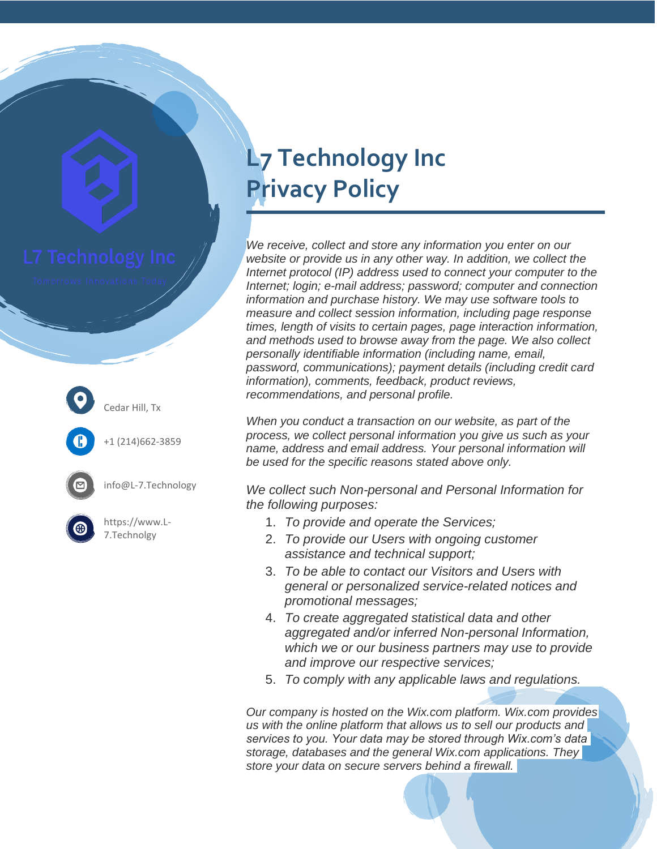

Cedar Hill, Tx

+1 (214)662-3859

info@L-7.Technology



https://www.L-7.Technolgy

## **L7 Technology Inc Privacy Policy**

*We receive, collect and store any information you enter on our website or provide us in any other way. In addition, we collect the Internet protocol (IP) address used to connect your computer to the Internet; login; e-mail address; password; computer and connection information and purchase history. We may use software tools to measure and collect session information, including page response times, length of visits to certain pages, page interaction information, and methods used to browse away from the page. We also collect personally identifiable information (including name, email, password, communications); payment details (including credit card information), comments, feedback, product reviews, recommendations, and personal profile.*

*When you conduct a transaction on our website, as part of the process, we collect personal information you give us such as your name, address and email address. Your personal information will be used for the specific reasons stated above only.*

*We collect such Non-personal and Personal Information for the following purposes:*

- 1. *To provide and operate the Services;*
- 2. *To provide our Users with ongoing customer assistance and technical support;*
- 3. *To be able to contact our Visitors and Users with general or personalized service-related notices and promotional messages;*
- 4. *To create aggregated statistical data and other aggregated and/or inferred Non-personal Information, which we or our business partners may use to provide and improve our respective services;*
- 5. *To comply with any applicable laws and regulations.*

*Our company is hosted on the Wix.com platform. Wix.com provides us with the online platform that allows us to sell our products and services to you. Your data may be stored through Wix.com's data storage, databases and the general Wix.com applications. They store your data on secure servers behind a firewall.*